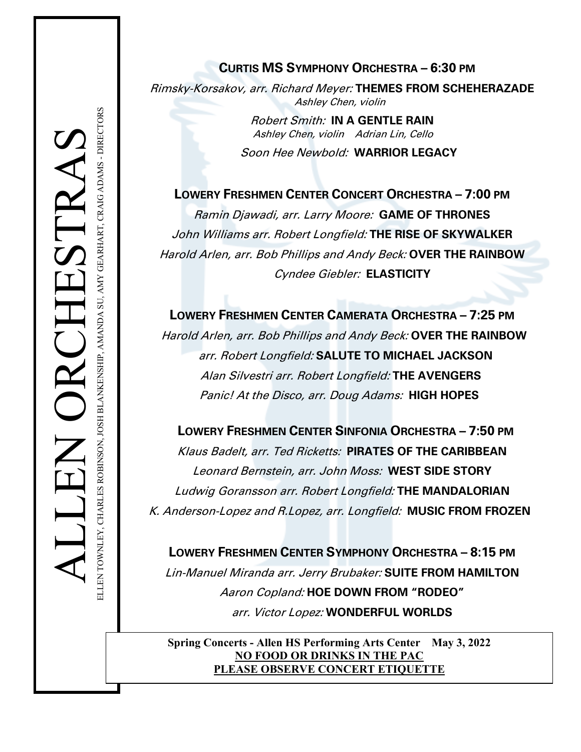# **CURTIS MS SYMPHONY ORCHESTRA – 6:30 PM**

Rimsky-Korsakov, arr. Richard Meyer: **THEMES FROM SCHEHERAZADE** Ashley Chen, violin

> Robert Smith: **IN A GENTLE RAIN** Ashley Chen, violin Adrian Lin, Cello

Soon Hee Newbold: **WARRIOR LEGACY**

**LOWERY FRESHMEN CENTER CONCERT ORCHESTRA – 7:00 PM** Ramin Djawadi, arr. Larry Moore: **GAME OF THRONES** John Williams arr. Robert Longfield: **THE RISE OF SKYWALKER** Harold Arlen, arr. Bob Phillips and Andy Beck: **OVER THE RAINBOW** Cyndee Giebler: **ELASTICITY**

**LOWERY FRESHMEN CENTER CAMERATA ORCHESTRA – 7:25 PM** Harold Arlen, arr. Bob Phillips and Andy Beck: **OVER THE RAINBOW** arr. Robert Longfield: **SALUTE TO MICHAEL JACKSON** Alan Silvestri arr. Robert Longfield: **THE AVENGERS** Panic! At the Disco, arr. Doug Adams: **HIGH HOPES**

**Example 12**<br> **LOWERY FRESHMEN CENTER CONCERT DROHESTRA – 7:00 PM<br>
<b>LOWERY FRESHMEN CENTER CONCERT ORCHESTRA – 7:00 PM**<br> **LOWERY FRESHMEN CENTER CONCERT ORCHESTRA – 7:00 PM**<br> **RAMIN Digitarist PARTICULARE MANUAL SINGLET CO** Klaus Badelt, arr. Ted Ricketts: **PIRATES OF THE CARIBBEAN** Leonard Bernstein, arr. John Moss: **WEST SIDE STORY** Ludwig Goransson arr. Robert Longfield: **THE MANDALORIAN** K. Anderson-Lopez and R.Lopez, arr. Longfield: **MUSIC FROM FROZEN**

**LOWERY FRESHMEN CENTER SYMPHONY ORCHESTRA – 8:15 PM** Lin-Manuel Miranda arr. Jerry Brubaker: **SUITE FROM HAMILTON** Aaron Copland: **HOE DOWN FROM "RODEO"** arr. Victor Lopez: **WONDERFUL WORLDS**

**Spring Concerts - Allen HS Performing Arts Center May 3, 2022 NO FOOD OR DRINKS IN THE PAC PLEASE OBSERVE CONCERT ETIQUETTE**